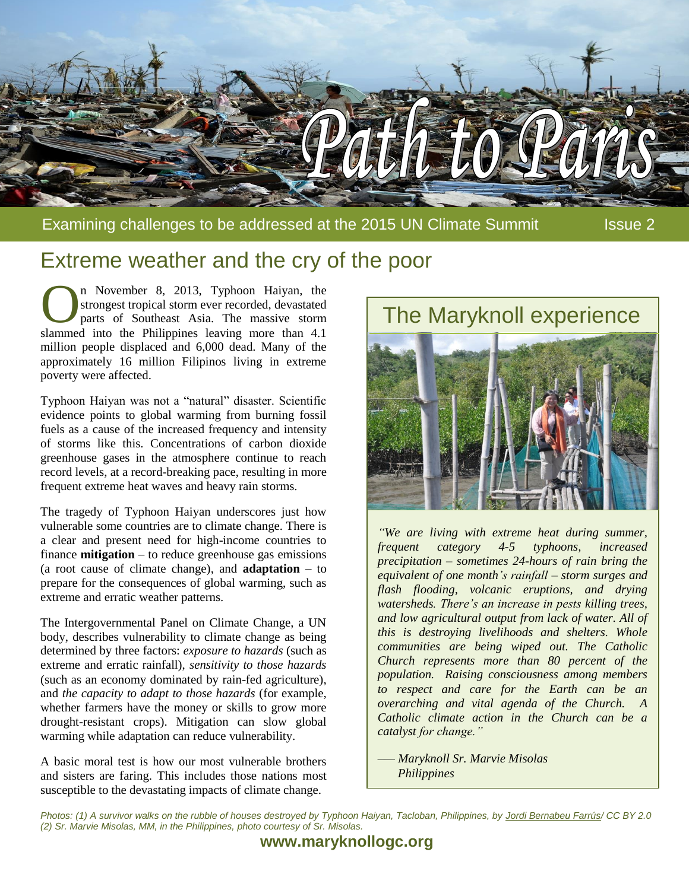

Extreme weather and the cry of the poor

n November 8, 2013, Typhoon Haiyan, the strongest tropical storm ever recorded, devastated parts of Southeast Asia. The massive storm n November 8, 2013, Typhoon Haiyan, the strongest tropical storm ever recorded, devastated parts of Southeast Asia. The massive storm slammed into the Philippines leaving more than 4.1 million people displaced and 6,000 dead. Many of the approximately 16 million Filipinos living in extreme poverty were affected.

Typhoon Haiyan was not a "natural" disaster. Scientific evidence points to global warming from burning fossil fuels as a cause of the increased frequency and intensity of storms like this. Concentrations of carbon dioxide greenhouse gases in the atmosphere continue to reach record levels, at a record-breaking pace, resulting in more frequent extreme heat waves and heavy rain storms.

The tragedy of Typhoon Haiyan underscores just how vulnerable some countries are to climate change. There is a clear and present need for high-income countries to finance **mitigation** – to reduce greenhouse gas emissions (a root cause of climate change), and **adaptation –** to prepare for the consequences of global warming, such as extreme and erratic weather patterns.

The Intergovernmental Panel on Climate Change, a UN body, describes vulnerability to climate change as being determined by three factors: *exposure to hazards* (such as extreme and erratic rainfall), *sensitivity to those hazards* (such as an economy dominated by rain-fed agriculture), and *the capacity to adapt to those hazards* (for example, whether farmers have the money or skills to grow more drought-resistant crops). Mitigation can slow global warming while adaptation can reduce vulnerability.

A basic moral test is how our most vulnerable brothers and sisters are faring. This includes those nations most susceptible to the devastating impacts of climate change.



*"We are living with extreme heat during summer, frequent category 4-5 typhoons, increased precipitation – sometimes 24-hours of rain bring the equivalent of one month's rainfall – storm surges and flash flooding, volcanic eruptions, and drying watersheds. There's an increase in pests killing trees, and low agricultural output from lack of water. All of this is destroying livelihoods and shelters. Whole communities are being wiped out. The Catholic Church represents more than 80 percent of the population. Raising consciousness among members to respect and care for the Earth can be an overarching and vital agenda of the Church. A Catholic climate action in the Church can be a catalyst for change."*

*–— Maryknoll Sr. Marvie Misolas Philippines*

*Photos: (1) A survivor walks on the rubble of houses destroyed by Typhoon Haiyan, Tacloban, Philippines, by [Jordi Bernabeu Farrús/](https://www.flickr.com/photos/jordibernabeu/10814517326/in/photostream/) CC BY 2.0 (2) Sr. Marvie Misolas, MM, in the Philippines, photo courtesy of Sr. Misolas.*